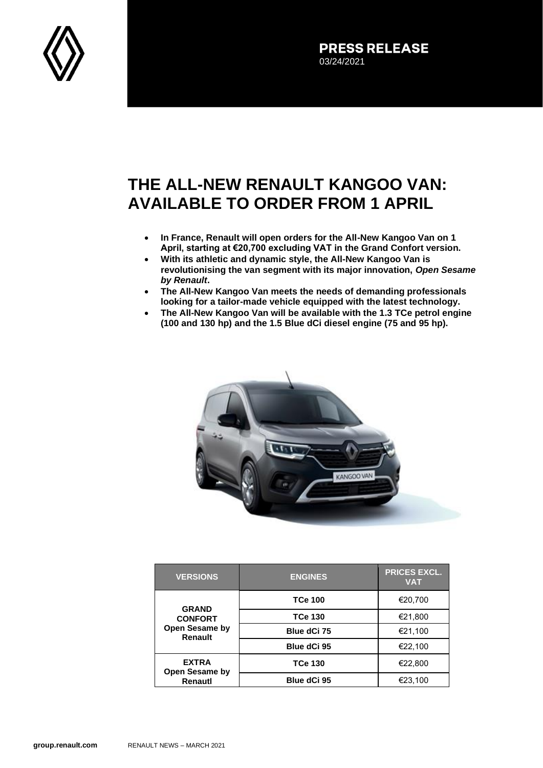

**PRESS RELEASE** 03/24/2021

## **THE ALL-NEW RENAULT KANGOO VAN: AVAILABLE TO ORDER FROM 1 APRIL**

- **In France, Renault will open orders for the All-New Kangoo Van on 1 April, starting at €20,700 excluding VAT in the Grand Confort version.**
- **With its athletic and dynamic style, the All-New Kangoo Van is revolutionising the van segment with its major innovation,** *Open Sesame by Renault***.**
- **The All-New Kangoo Van meets the needs of demanding professionals looking for a tailor-made vehicle equipped with the latest technology.**
- **The All-New Kangoo Van will be available with the 1.3 TCe petrol engine (100 and 130 hp) and the 1.5 Blue dCi diesel engine (75 and 95 hp).**



| <b>VERSIONS</b>                                             | <b>ENGINES</b> | <b>PRICES EXCL.</b><br><b>VAT</b> |
|-------------------------------------------------------------|----------------|-----------------------------------|
| <b>GRAND</b><br><b>CONFORT</b><br>Open Sesame by<br>Renault | <b>TCe 100</b> | €20,700                           |
|                                                             | <b>TCe 130</b> | €21,800                           |
|                                                             | Blue dCi 75    | €21,100                           |
|                                                             | Blue dCi 95    | €22,100                           |
| <b>EXTRA</b><br><b>Open Sesame by</b><br>Renautl            | <b>TCe 130</b> | €22.800                           |
|                                                             | Blue dCi 95    | €23.100                           |